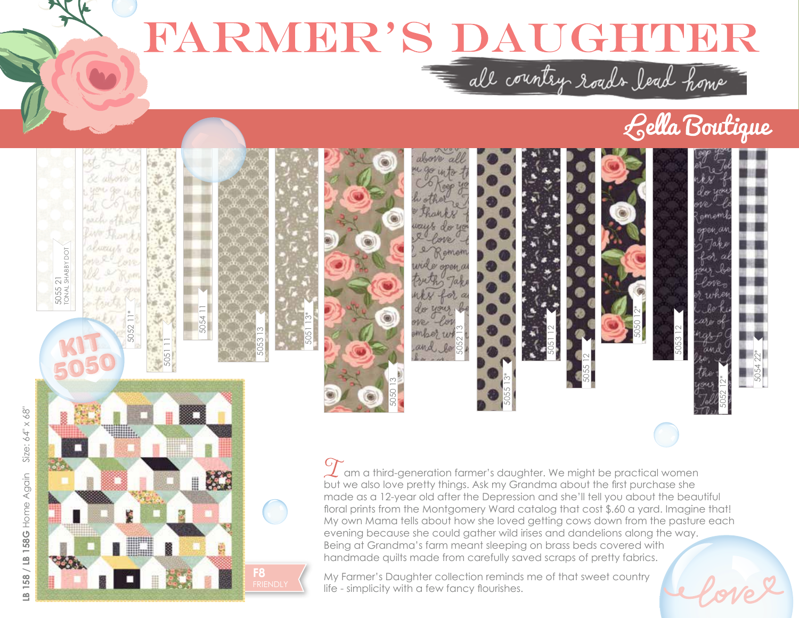## RARWER'S DAUGHUER

## Lella Boutique



**F8**

K

O

 $\begin{array}{c} \begin{array}{c} \begin{array}{c} \begin{array}{c} \end{array} \end{array} \end{array} \end{array} \end{array} \end{array}$ 

 $\mathcal I$  am a third-generation farmer's daughter. We might be practical women but we also love pretty things. Ask my Grandma about the first purchase she made as a 12-year old after the Depression and she'll tell you about the beautiful floral prints from the Montgomery Ward catalog that cost \$.60 a yard. Imagine that! My own Mama tells about how she loved getting cows down from the pasture each evening because she could gather wild irises and dandelions along the way. Being at Grandma's farm meant sleeping on brass beds covered with handmade quilts made from carefully saved scraps of pretty fabrics.

My Farmer's Daughter collection reminds me of that sweet country life - simplicity with a few fancy flourishes.